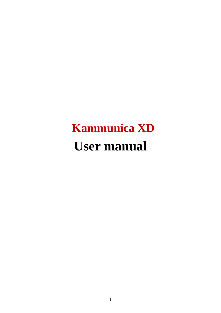# **Kammunica XD User manual**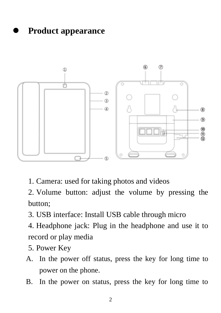⚫ **Product appearance**



1. Camera: used for taking photos and videos

2. Volume button: adjust the volume by pressing the button;

- 3. USB interface: Install USB cable through micro
- 4. Headphone jack: Plug in the headphone and use it to record or play media
- 5. Power Key
- A. In the power off status, press the key for long time to power on the phone.
- B. In the power on status, press the key for long time to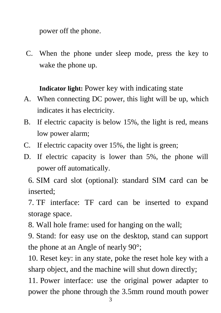power off the phone.

C. When the phone under sleep mode, press the key to wake the phone up.

**Indicator light:** Power key with indicating state

- A. When connecting DC power, this light will be up, which indicates it has electricity.
- B. If electric capacity is below 15%, the light is red, means low power alarm;
- C. If electric capacity over 15%, the light is green;
- D. If electric capacity is lower than 5%, the phone will power off automatically.

6. SIM card slot (optional): standard SIM card can be inserted;

7. TF interface: TF card can be inserted to expand storage space.

8. Wall hole frame: used for hanging on the wall;

9. Stand: for easy use on the desktop, stand can support the phone at an Angle of nearly 90°;

10. Reset key: in any state, poke the reset hole key with a sharp object, and the machine will shut down directly;

11. Power interface: use the original power adapter to power the phone through the 3.5mm round mouth power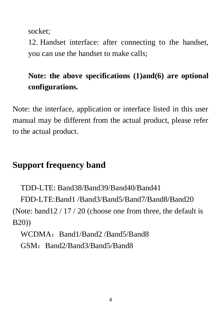socket;

12. Handset interface: after connecting to the handset, you can use the handset to make calls;

### **Note: the above specifications (1)and(6) are optional configurations.**

Note: the interface, application or interface listed in this user manual may be different from the actual product, please refer to the actual product.

#### **Support frequency band**

 TDD-LTE: Band38/Band39/Band40/Band41 FDD-LTE:Band1 /Band3/Band5/Band7/Band8/Band20 (Note: band12 / 17 / 20 (choose one from three, the default is B20))

WCDMA: Band1/Band2 /Band5/Band8

GSM: Band2/Band3/Band5/Band8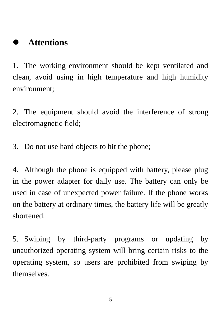#### ⚫ **Attentions**

1. The working environment should be kept ventilated and clean, avoid using in high temperature and high humidity environment;

2. The equipment should avoid the interference of strong electromagnetic field;

3. Do not use hard objects to hit the phone;

4. Although the phone is equipped with battery, please plug in the power adapter for daily use. The battery can only be used in case of unexpected power failure. If the phone works on the battery at ordinary times, the battery life will be greatly shortened.

5. Swiping by third-party programs or updating by unauthorized operating system will bring certain risks to the operating system, so users are prohibited from swiping by themselves.

5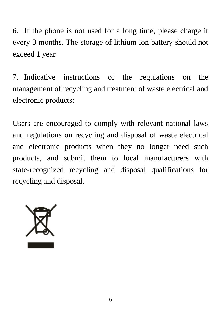6. If the phone is not used for a long time, please charge it every 3 months. The storage of lithium ion battery should not exceed 1 year.

7. Indicative instructions of the regulations on the management of recycling and treatment of waste electrical and electronic products:

Users are encouraged to comply with relevant national laws and regulations on recycling and disposal of waste electrical and electronic products when they no longer need such products, and submit them to local manufacturers with state-recognized recycling and disposal qualifications for recycling and disposal.